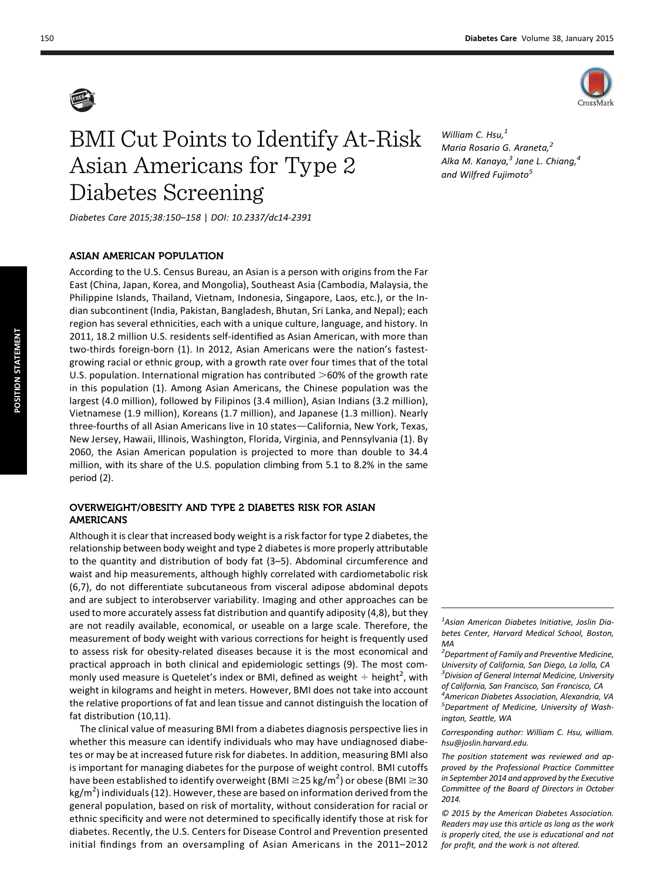

# BMI Cut Points to Identify At-Risk Asian Americans for Type 2 Diabetes Screening

William C. Hsu, $<sup>1</sup>$ </sup> Maria Rosario G. Araneta,<sup>2</sup> Alka M. Kanaya, $^3$  Jane L. Chiang, $^4$ and Wilfred Fujimoto<sup>5</sup>

Diabetes Care 2015;38:150–158 | DOI: 10.2337/dc14-2391

## ASIAN AMERICAN POPULATION

According to the U.S. Census Bureau, an Asian is a person with origins from the Far East (China, Japan, Korea, and Mongolia), Southeast Asia (Cambodia, Malaysia, the Philippine Islands, Thailand, Vietnam, Indonesia, Singapore, Laos, etc.), or the Indian subcontinent (India, Pakistan, Bangladesh, Bhutan, Sri Lanka, and Nepal); each region has several ethnicities, each with a unique culture, language, and history. In 2011, 18.2 million U.S. residents self-identified as Asian American, with more than two-thirds foreign-born (1). In 2012, Asian Americans were the nation's fastestgrowing racial or ethnic group, with a growth rate over four times that of the total U.S. population. International migration has contributed  $>60\%$  of the growth rate in this population (1). Among Asian Americans, the Chinese population was the largest (4.0 million), followed by Filipinos (3.4 million), Asian Indians (3.2 million), Vietnamese (1.9 million), Koreans (1.7 million), and Japanese (1.3 million). Nearly three-fourths of all Asian Americans live in 10 states-California, New York, Texas, New Jersey, Hawaii, Illinois, Washington, Florida, Virginia, and Pennsylvania (1). By 2060, the Asian American population is projected to more than double to 34.4 million, with its share of the U.S. population climbing from 5.1 to 8.2% in the same period (2).

## OVERWEIGHT/OBESITY AND TYPE 2 DIABETES RISK FOR ASIAN AMERICANS

Although it is clear that increased body weight is a risk factor for type 2 diabetes, the relationship between body weight and type 2 diabetes is more properly attributable to the quantity and distribution of body fat (3–5). Abdominal circumference and waist and hip measurements, although highly correlated with cardiometabolic risk (6,7), do not differentiate subcutaneous from visceral adipose abdominal depots and are subject to interobserver variability. Imaging and other approaches can be used to more accurately assess fat distribution and quantify adiposity (4,8), but they are not readily available, economical, or useable on a large scale. Therefore, the measurement of body weight with various corrections for height is frequently used to assess risk for obesity-related diseases because it is the most economical and practical approach in both clinical and epidemiologic settings (9). The most commonly used measure is Quetelet's index or BMI, defined as weight  $\div$  height<sup>2</sup>, with weight in kilograms and height in meters. However, BMI does not take into account the relative proportions of fat and lean tissue and cannot distinguish the location of fat distribution (10,11).

The clinical value of measuring BMI from a diabetes diagnosis perspective lies in whether this measure can identify individuals who may have undiagnosed diabetes or may be at increased future risk for diabetes. In addition, measuring BMI also is important for managing diabetes for the purpose of weight control. BMI cutoffs have been established to identify overweight (BMI  $\geq$  25 kg/m<sup>2</sup>) or obese (BMI  $\geq$  30 kg/m<sup>2</sup>) individuals (12). However, these are based on information derived from the general population, based on risk of mortality, without consideration for racial or ethnic specificity and were not determined to specifically identify those at risk for diabetes. Recently, the U.S. Centers for Disease Control and Prevention presented initial findings from an oversampling of Asian Americans in the 2011–2012

 $1$ Asian American Diabetes Initiative, Joslin Diabetes Center, Harvard Medical School, Boston, MA

 ${}^{2}$ Department of Family and Preventive Medicine, University of California, San Diego, La Jolla, CA <sup>3</sup> Division of General Internal Medicine, University of California, San Francisco, San Francisco, CA 4 American Diabetes Association, Alexandria, VA <sup>5</sup>Department of Medicine, University of Washington, Seattle, WA

Corresponding author: William C. Hsu, [william.](mailto:william.hsu@joslin.harvard.edu) [hsu@joslin.harvard.edu](mailto:william.hsu@joslin.harvard.edu).

The position statement was reviewed and approved by the Professional Practice Committee in September 2014 and approved by the Executive Committee of the Board of Directors in October 2014.

© 2015 by the American Diabetes Association. Readers may use this article as long as the work is properly cited, the use is educational and not for profit, and the work is not altered.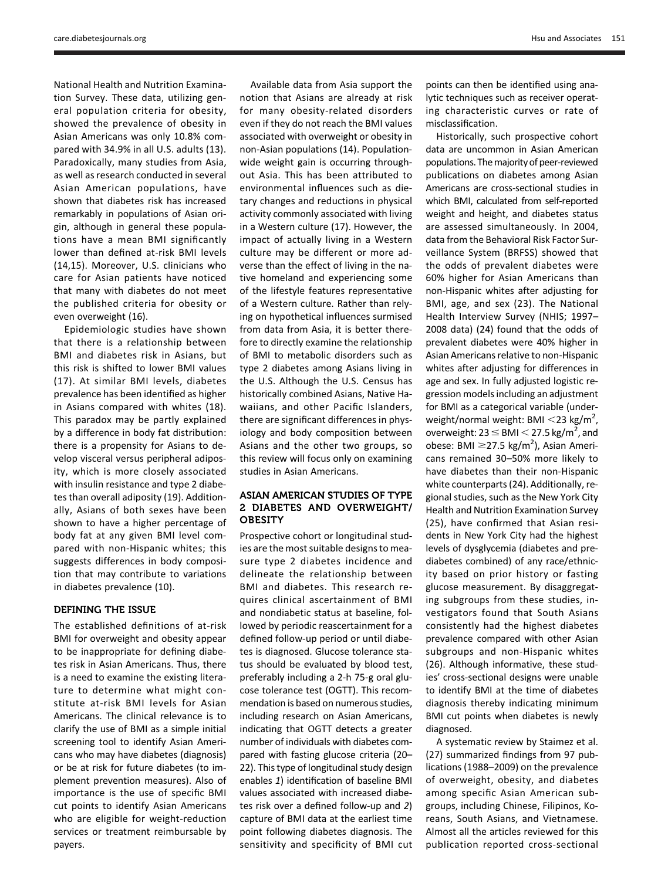National Health and Nutrition Examination Survey. These data, utilizing general population criteria for obesity, showed the prevalence of obesity in Asian Americans was only 10.8% compared with 34.9% in all U.S. adults (13). Paradoxically, many studies from Asia, as well as research conducted in several Asian American populations, have shown that diabetes risk has increased remarkably in populations of Asian origin, although in general these populations have a mean BMI significantly lower than defined at-risk BMI levels (14,15). Moreover, U.S. clinicians who care for Asian patients have noticed that many with diabetes do not meet the published criteria for obesity or even overweight (16).

Epidemiologic studies have shown that there is a relationship between BMI and diabetes risk in Asians, but this risk is shifted to lower BMI values (17). At similar BMI levels, diabetes prevalence has been identified as higher in Asians compared with whites (18). This paradox may be partly explained by a difference in body fat distribution: there is a propensity for Asians to develop visceral versus peripheral adiposity, which is more closely associated with insulin resistance and type 2 diabetes than overall adiposity (19). Additionally, Asians of both sexes have been shown to have a higher percentage of body fat at any given BMI level compared with non-Hispanic whites; this suggests differences in body composition that may contribute to variations in diabetes prevalence (10).

## DEFINING THE ISSUE

The established definitions of at-risk BMI for overweight and obesity appear to be inappropriate for defining diabetes risk in Asian Americans. Thus, there is a need to examine the existing literature to determine what might constitute at-risk BMI levels for Asian Americans. The clinical relevance is to clarify the use of BMI as a simple initial screening tool to identify Asian Americans who may have diabetes (diagnosis) or be at risk for future diabetes (to implement prevention measures). Also of importance is the use of specific BMI cut points to identify Asian Americans who are eligible for weight-reduction services or treatment reimbursable by payers.

Available data from Asia support the notion that Asians are already at risk for many obesity-related disorders even if they do not reach the BMI values associated with overweight or obesity in non-Asian populations (14). Populationwide weight gain is occurring throughout Asia. This has been attributed to environmental influences such as dietary changes and reductions in physical activity commonly associated with living in a Western culture (17). However, the impact of actually living in a Western culture may be different or more adverse than the effect of living in the native homeland and experiencing some of the lifestyle features representative of a Western culture. Rather than relying on hypothetical influences surmised from data from Asia, it is better therefore to directly examine the relationship of BMI to metabolic disorders such as type 2 diabetes among Asians living in the U.S. Although the U.S. Census has historically combined Asians, Native Hawaiians, and other Pacific Islanders, there are significant differences in physiology and body composition between Asians and the other two groups, so this review will focus only on examining studies in Asian Americans.

## ASIAN AMERICAN STUDIES OF TYPE 2 DIABETES AND OVERWEIGHT/ **OBESITY**

Prospective cohort or longitudinal studies are the most suitable designs to measure type 2 diabetes incidence and delineate the relationship between BMI and diabetes. This research requires clinical ascertainment of BMI and nondiabetic status at baseline, followed by periodic reascertainment for a defined follow-up period or until diabetes is diagnosed. Glucose tolerance status should be evaluated by blood test, preferably including a 2-h 75-g oral glucose tolerance test (OGTT). This recommendation is based on numerous studies, including research on Asian Americans, indicating that OGTT detects a greater number of individuals with diabetes compared with fasting glucose criteria (20– 22). This type of longitudinal study design enables 1) identification of baseline BMI values associated with increased diabetes risk over a defined follow-up and 2) capture of BMI data at the earliest time point following diabetes diagnosis. The sensitivity and specificity of BMI cut points can then be identified using analytic techniques such as receiver operating characteristic curves or rate of misclassification.

Historically, such prospective cohort data are uncommon in Asian American populations. The majority of peer-reviewed publications on diabetes among Asian Americans are cross-sectional studies in which BMI, calculated from self-reported weight and height, and diabetes status are assessed simultaneously. In 2004, data from the Behavioral Risk Factor Surveillance System (BRFSS) showed that the odds of prevalent diabetes were 60% higher for Asian Americans than non-Hispanic whites after adjusting for BMI, age, and sex (23). The National Health Interview Survey (NHIS; 1997– 2008 data) (24) found that the odds of prevalent diabetes were 40% higher in Asian Americans relative to non-Hispanic whites after adjusting for differences in age and sex. In fully adjusted logistic regression models including an adjustment for BMI as a categorical variable (underweight/normal weight: BMI  $\langle 23 \text{ kg/m}^2,$ overweight: 23  $\leq$  BMI  $<$  27.5 kg/m<sup>2</sup>, and obese: BMI  $\geq$ 27.5 kg/m<sup>2</sup>), Asian Americans remained 30–50% more likely to have diabetes than their non-Hispanic white counterparts (24). Additionally, regional studies, such as the New York City Health and Nutrition Examination Survey (25), have confirmed that Asian residents in New York City had the highest levels of dysglycemia (diabetes and prediabetes combined) of any race/ethnicity based on prior history or fasting glucose measurement. By disaggregating subgroups from these studies, investigators found that South Asians consistently had the highest diabetes prevalence compared with other Asian subgroups and non-Hispanic whites (26). Although informative, these studies' cross-sectional designs were unable to identify BMI at the time of diabetes diagnosis thereby indicating minimum BMI cut points when diabetes is newly diagnosed.

A systematic review by Staimez et al. (27) summarized findings from 97 publications (1988–2009) on the prevalence of overweight, obesity, and diabetes among specific Asian American subgroups, including Chinese, Filipinos, Koreans, South Asians, and Vietnamese. Almost all the articles reviewed for this publication reported cross-sectional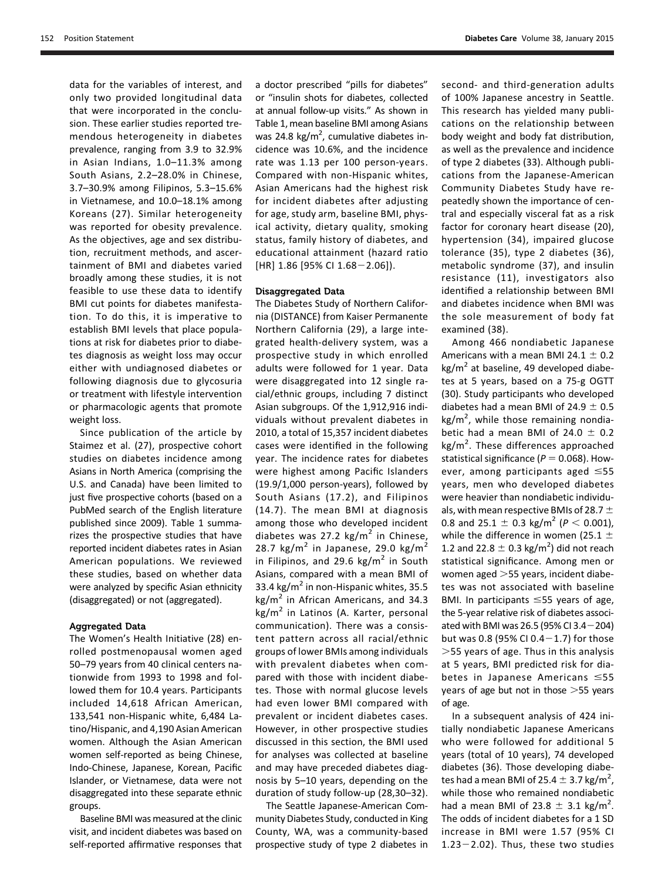152 Position Statement Diabetes Care Volume 38, January 2015

data for the variables of interest, and only two provided longitudinal data that were incorporated in the conclusion. These earlier studies reported tremendous heterogeneity in diabetes prevalence, ranging from 3.9 to 32.9% in Asian Indians, 1.0–11.3% among South Asians, 2.2–28.0% in Chinese, 3.7–30.9% among Filipinos, 5.3–15.6% in Vietnamese, and 10.0–18.1% among Koreans (27). Similar heterogeneity was reported for obesity prevalence. As the objectives, age and sex distribution, recruitment methods, and ascertainment of BMI and diabetes varied broadly among these studies, it is not feasible to use these data to identify BMI cut points for diabetes manifestation. To do this, it is imperative to establish BMI levels that place populations at risk for diabetes prior to diabetes diagnosis as weight loss may occur either with undiagnosed diabetes or following diagnosis due to glycosuria or treatment with lifestyle intervention or pharmacologic agents that promote weight loss.

Since publication of the article by Staimez et al. (27), prospective cohort studies on diabetes incidence among Asians in North America (comprising the U.S. and Canada) have been limited to just five prospective cohorts (based on a PubMed search of the English literature published since 2009). Table 1 summarizes the prospective studies that have reported incident diabetes rates in Asian American populations. We reviewed these studies, based on whether data were analyzed by specific Asian ethnicity (disaggregated) or not (aggregated).

#### Aggregated Data

The Women's Health Initiative (28) enrolled postmenopausal women aged 50–79 years from 40 clinical centers nationwide from 1993 to 1998 and followed them for 10.4 years. Participants included 14,618 African American, 133,541 non-Hispanic white, 6,484 Latino/Hispanic, and 4,190 Asian American women. Although the Asian American women self-reported as being Chinese, Indo-Chinese, Japanese, Korean, Pacific Islander, or Vietnamese, data were not disaggregated into these separate ethnic groups.

Baseline BMI was measured at the clinic visit, and incident diabetes was based on self-reported affirmative responses that

a doctor prescribed "pills for diabetes" or "insulin shots for diabetes, collected at annual follow-up visits." As shown in Table 1, mean baseline BMI among Asians was 24.8 kg/m<sup>2</sup>, cumulative diabetes incidence was 10.6%, and the incidence rate was 1.13 per 100 person-years. Compared with non-Hispanic whites, Asian Americans had the highest risk for incident diabetes after adjusting for age, study arm, baseline BMI, physical activity, dietary quality, smoking status, family history of diabetes, and educational attainment (hazard ratio  $[HR]$  1.86  $[95% CI$  1.68 - 2.06]).

### Disaggregated Data

The Diabetes Study of Northern California (DISTANCE) from Kaiser Permanente Northern California (29), a large integrated health-delivery system, was a prospective study in which enrolled adults were followed for 1 year. Data were disaggregated into 12 single racial/ethnic groups, including 7 distinct Asian subgroups. Of the 1,912,916 individuals without prevalent diabetes in 2010, a total of 15,357 incident diabetes cases were identified in the following year. The incidence rates for diabetes were highest among Pacific Islanders (19.9/1,000 person-years), followed by South Asians (17.2), and Filipinos (14.7). The mean BMI at diagnosis among those who developed incident diabetes was 27.2  $\text{kg/m}^2$  in Chinese, 28.7 kg/m<sup>2</sup> in Japanese, 29.0 kg/m<sup>2</sup> in Filipinos, and 29.6  $\text{kg/m}^2$  in South Asians, compared with a mean BMI of 33.4 kg/m<sup>2</sup> in non-Hispanic whites, 35.5  $kg/m<sup>2</sup>$  in African Americans, and 34.3  $kg/m<sup>2</sup>$  in Latinos (A. Karter, personal communication). There was a consistent pattern across all racial/ethnic groups of lower BMIs among individuals with prevalent diabetes when compared with those with incident diabetes. Those with normal glucose levels had even lower BMI compared with prevalent or incident diabetes cases. However, in other prospective studies discussed in this section, the BMI used for analyses was collected at baseline and may have preceded diabetes diagnosis by 5–10 years, depending on the duration of study follow-up (28,30–32).

The Seattle Japanese-American Community Diabetes Study, conducted in King County, WA, was a community-based prospective study of type 2 diabetes in second- and third-generation adults of 100% Japanese ancestry in Seattle. This research has yielded many publications on the relationship between body weight and body fat distribution, as well as the prevalence and incidence of type 2 diabetes (33). Although publications from the Japanese-American Community Diabetes Study have repeatedly shown the importance of central and especially visceral fat as a risk factor for coronary heart disease (20), hypertension (34), impaired glucose tolerance (35), type 2 diabetes (36), metabolic syndrome (37), and insulin resistance (11), investigators also identified a relationship between BMI and diabetes incidence when BMI was the sole measurement of body fat examined (38).

Among 466 nondiabetic Japanese Americans with a mean BMI 24.1  $\pm$  0.2  $kg/m<sup>2</sup>$  at baseline, 49 developed diabetes at 5 years, based on a 75-g OGTT (30). Study participants who developed diabetes had a mean BMI of 24.9  $\pm$  0.5 kg/m<sup>2</sup>, while those remaining nondiabetic had a mean BMI of 24.0  $\pm$  0.2 kg/m<sup>2</sup>. These differences approached statistical significance ( $P = 0.068$ ). However, among participants aged  $\leq 55$ years, men who developed diabetes were heavier than nondiabetic individuals, with mean respective BMIs of 28.7  $\pm$ 0.8 and 25.1  $\pm$  0.3 kg/m<sup>2</sup> (P < 0.001), while the difference in women (25.1  $\pm$ 1.2 and 22.8  $\pm$  0.3 kg/m<sup>2</sup>) did not reach statistical significance. Among men or women aged  $>$ 55 years, incident diabetes was not associated with baseline BMI. In participants  $\leq$ 55 years of age, the 5-year relative risk of diabetes associated with BMI was 26.5 (95% CI 3.4 $-$ 204) but was 0.8 (95% CI 0.4 $-1.7$ ) for those  $>$  55 years of age. Thus in this analysis at 5 years, BMI predicted risk for diabetes in Japanese Americans  $\leq 55$ years of age but not in those  $>55$  years of age.

In a subsequent analysis of 424 initially nondiabetic Japanese Americans who were followed for additional 5 years (total of 10 years), 74 developed diabetes (36). Those developing diabetes had a mean BMI of 25.4  $\pm$  3.7 kg/m<sup>2</sup>, while those who remained nondiabetic had a mean BMI of 23.8  $\pm$  3.1 kg/m<sup>2</sup>. The odds of incident diabetes for a 1 SD increase in BMI were 1.57 (95% CI  $1.23 - 2.02$ ). Thus, these two studies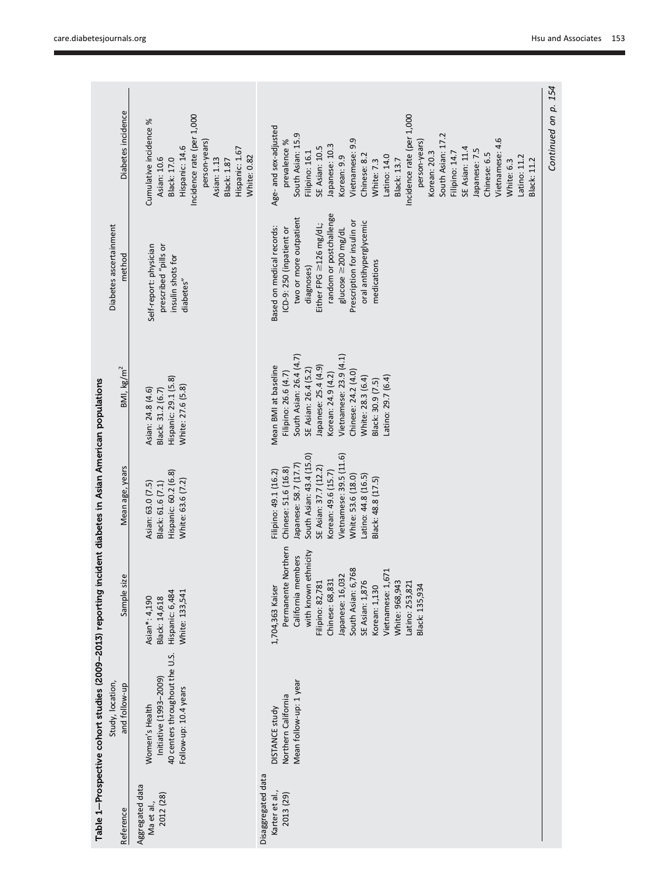|                                                                                                          | Diabetes incidence                | Incidence rate (per 1,000<br>Cumulative incidence %<br>person-years)<br>Hispanic: 14.6<br>Hispanic: 1.67<br>White: 0.82<br><b>Black: 17.0</b><br>Asian: 10.6<br>Asian: 1.13<br>Black: 1.87 | Incidence rate (per 1,000<br>Age- and sex-adjusted<br>South Asian: 15.9<br>South Asian: 17.2<br>Vietnamese: 4.6<br>Vietnamese: 9.9<br>prevalence %<br>person-years)<br>Japanese: 10.3<br><b>SE Asian: 10.5</b><br><b>SE Asian: 11.4</b><br>Japanese: 7.5<br>Filipino: 16.1<br>Korean: 20.3<br>Filipino: 14.7<br>Chinese: 6.5<br>Chinese: 8.2<br>Latino: 14.0<br>Latino: 11.2<br>Korean: 9.9<br>Black: 13.7<br><b>Black: 11.2</b><br>White: 7.3<br>White: 6.3 | Continued on p. 154 |
|----------------------------------------------------------------------------------------------------------|-----------------------------------|--------------------------------------------------------------------------------------------------------------------------------------------------------------------------------------------|--------------------------------------------------------------------------------------------------------------------------------------------------------------------------------------------------------------------------------------------------------------------------------------------------------------------------------------------------------------------------------------------------------------------------------------------------------------|---------------------|
|                                                                                                          | Diabetes ascertainment<br>method  | prescribed "pills or<br>Self-report: physician<br>insulin shots for<br>diabetes"                                                                                                           | random or postchallenge<br>two or more outpatient<br>Prescription for insulin or<br>oral antihyperglycemic<br>Either FPG $\geq$ 126 mg/dL;<br>Based on medical records:<br>ICD-9: 250 (inpatient or<br>$glucose \geq 200 mg/dL$<br>medications<br>diagnoses)                                                                                                                                                                                                 |                     |
|                                                                                                          | BM, kg/m <sup>2</sup>             | Hispanic: 29.1 (5.8)<br>White: 27.6 (5.8)<br>Asian: 24.8 (4.6)<br>Black: 31.2 (6.7)                                                                                                        | South Asian: 26.4 (4.7)<br>Vietnamese: 23.9 (4.1)<br>Mean BMI at baseline<br>Japanese: 25.4 (4.9)<br>SE Asian: 26.4 (5.2)<br>Chinese: 24.2 (4.0)<br>Filipino: 26.6 (4.7)<br>Korean: 24.9 (4.2)<br>Latino: 29.7 (6.4)<br>White: 28.3 (6.4)<br>Black: 30.9 (7.5)                                                                                                                                                                                               |                     |
|                                                                                                          | Mean age, years                   | Hispanic: 60.2 (6.8)<br>White: 63.6 (7.2)<br>Asian: 63.0 (7.5)<br>Black: 61.6 (7.1)                                                                                                        | South Asian: 43.4 (15.0)<br>Vietnamese: 39.5 (11.6)<br>Japanese: 58.7 (17.7)<br>SE Asian: 37.7 (12.2)<br>Chinese: 51.6 (16.8)<br>Filipino: 49.1 (16.2)<br>Korean: 49.6 (15.7)<br>Latino: 44.8 (16.5)<br>White: 53.6 (18.0)<br>Black: 48.8 (17.5)                                                                                                                                                                                                             |                     |
|                                                                                                          | Sample size                       | Hispanic: 6,484<br>White: 133,541<br>Asian*: 4,190<br>Black: 14,618                                                                                                                        | Permanente Northern<br>with known ethnicity<br>California members<br>South Asian: 6,768<br>Vietnamese: 1,671<br>Chinese: 68,831<br>Japanese: 16,032<br>Filipino: 82,781<br>SE Asian: 1,876<br>Korean: 1,130<br>White: 968,943<br>Latino: 253,821<br>1,704,363 Kaiser<br>Black: 135,934                                                                                                                                                                       |                     |
| Table 1—Prospective cohort studies (2009–2013) reporting incident diabetes in Asian American populations | Study, location,<br>and follow-up | 40 centers throughout the U.S.<br>Initiative (1993-2009)<br>Follow-up: 10.4 years<br>Women's Health                                                                                        | Mean follow-up: 1 year<br>Northern California<br><b>DISTANCE study</b>                                                                                                                                                                                                                                                                                                                                                                                       |                     |
|                                                                                                          | Reference                         | Aggregated data<br>2012 (28)<br>Ma et al.,                                                                                                                                                 | Disaggregated data<br>Karter et al.,<br>2013 (29)                                                                                                                                                                                                                                                                                                                                                                                                            |                     |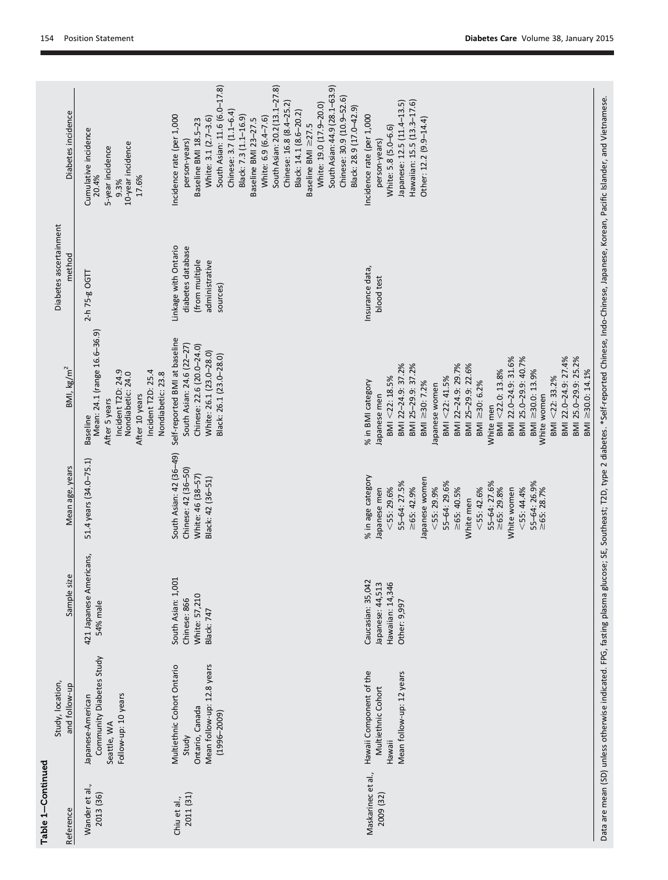| Wander et al., | Study, location,<br>and follow-up                                                                       | Sample size                                                               | Mean age, years                                                                                                                                                                                                                                                                                    | BM, kg/m <sup>2</sup>                                                                                                                                                                                                                                                                                                                                                                                                       | Diabetes ascertainment<br>method                                                          | Diabetes incidence                                                                                                                                                                                                                                                                                                                                                                                                                                             |
|----------------|---------------------------------------------------------------------------------------------------------|---------------------------------------------------------------------------|----------------------------------------------------------------------------------------------------------------------------------------------------------------------------------------------------------------------------------------------------------------------------------------------------|-----------------------------------------------------------------------------------------------------------------------------------------------------------------------------------------------------------------------------------------------------------------------------------------------------------------------------------------------------------------------------------------------------------------------------|-------------------------------------------------------------------------------------------|----------------------------------------------------------------------------------------------------------------------------------------------------------------------------------------------------------------------------------------------------------------------------------------------------------------------------------------------------------------------------------------------------------------------------------------------------------------|
|                | Community Diabetes Study<br>Follow-up: 10 years<br>Japanese-American<br>Seattle, WA                     | 421 Japanese Americans,<br>54% male                                       | 51.4 years (34.0-75.1)                                                                                                                                                                                                                                                                             | Mean: 24.1 (range 16.6-36.9)<br>Incident T2D: 24.9<br>Incident T2D: 25.4<br>Nondiabetic: 24.0<br>Nondiabetic: 23.8<br>After 10 years<br>After 5 years<br><b>Baseline</b>                                                                                                                                                                                                                                                    | 2-h 75-g OGT                                                                              | Cumulative incidence<br>20.4%<br>10-year incidence<br>5-year incidence<br>17.6%<br>9.3%                                                                                                                                                                                                                                                                                                                                                                        |
|                | Mean follow-up: 12.8 years<br>Multiethnic Cohort Ontario<br>Ontario, Canada<br>$(1996 - 2009)$<br>Study | South Asian: 1,001<br>White: 57,210<br>Chinese: 866<br>Black: 747         | South Asian: 42 (36-49)<br>Chinese: 42 (36-50)<br>White: 46 (38-57)<br>Black: 42 (36-51)                                                                                                                                                                                                           | Self-reported BMI at baseline<br>South Asian: 24.6 (22-27)<br>Chinese: 22.6 (20.0-24.0)<br>White: 26.1 (23.0-28.0)<br>Black: 26.1 (23.0-28.0)                                                                                                                                                                                                                                                                               | Linkage with Ontario<br>diabetes database<br>(from multiple<br>administrative<br>sources) | South Asian: 11.6 (6.0-17.8)<br>South Asian: 20.2 (13.1-27.8)<br>South Asian: 44.9 (28.1–63.9)<br>Chinese: 30.9 (10.9-52.6)<br>Chinese: 16.8 (8.4-25.2)<br>White: 19.0 (17.9-20.0)<br>Black: 28.9 (17.0-42.9)<br>Chinese: 3.7 (1.1-6.4)<br>Black: 14.1 (8.6-20.2)<br>Black: 7.3 (1.1-16.9)<br>Incidence rate (per 1,000<br>White: 3.1 (2.7-3.6)<br>White: 6.9 (6.4-7.6)<br>Baseline BMI 23-27.5<br>Baseline BMI 18.5-23<br>Baseline BMI ≥27.5<br>person-years) |
| <b>Hawaii</b>  | Hawaii Component of the<br>Mean follow-up: 12 years<br>Multiethnic Cohort                               | Caucasian: 35,042<br>Japanese: 44,513<br>Hawaiian: 14,346<br>Other: 9,997 | % in age category<br>Japanese women<br>55-64: 27.5%<br>55-64: 27.6%<br>55-64: 26.9%<br>55-64: 29.6%<br>$\geq 65: 42.9%$<br>$<$ 55: 29.9%<br>$\geq 65:40.5%$<br>$\geq 65: 29.8%$<br>$<$ 55: 44.4%<br>$\geq 65: 28.7%$<br>$<$ 55: 29.6%<br>$<$ 55: 42.6%<br>Japanese men<br>White women<br>White men | BMI 25.0-29.9: 40.7%<br>BMI 22.0-24.9: 27.4%<br>BMI 25.0-29.9: 25.2%<br>BMI 22.0-24.9: 31.6%<br>BMI 22-24.9: 37.2%<br>BMI 25-29.9: 37.2%<br>BMI 22-24.9: 29.7%<br>BMI 25-29.9: 22.6%<br>BMI <22.0: 13.8%<br>BMI ≥30.0: 13.9%<br>BMI ≥30.0: 14.1%<br>BMI <22: 33.2%<br>BMI <22: 41.5%<br>BMI <22: 18.5%<br>BMI ≥30: 7.2%<br>BMI ≥30: 6.2%<br>% in BMI category<br>Japanese women<br>White women<br>Japanese men<br>White men | Insurance data,<br>blood test                                                             | Hawaiian: 15.5 (13.3-17.6)<br>Japanese: 12.5 (11.4-13.5)<br>Incidence rate (per 1,000<br>Other: 12.2 (9.9-14.4)<br>White: 5.8 (5.0-6.6)<br>person-years)                                                                                                                                                                                                                                                                                                       |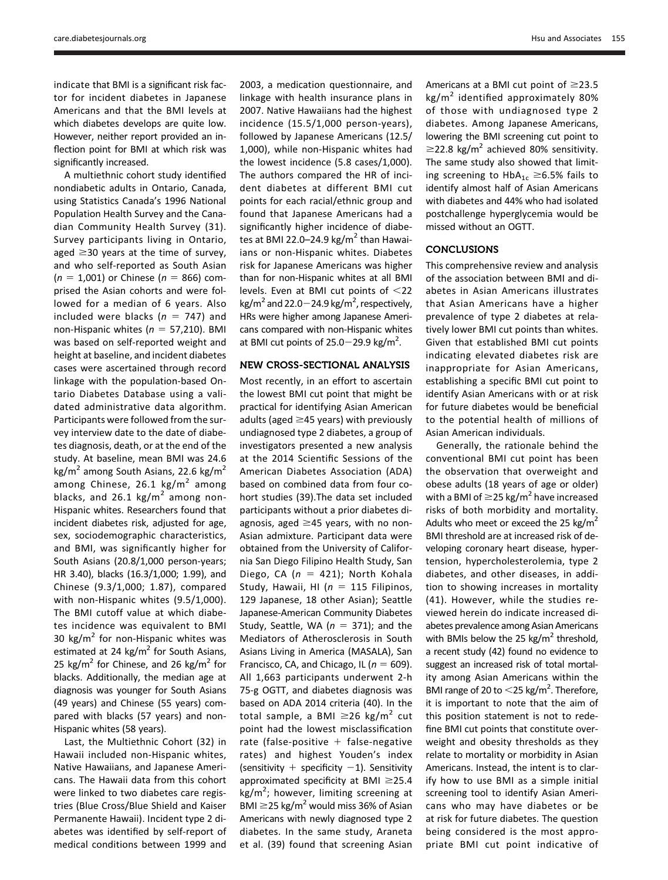indicate that BMI is a significant risk factor for incident diabetes in Japanese Americans and that the BMI levels at which diabetes develops are quite low. However, neither report provided an inflection point for BMI at which risk was significantly increased.

A multiethnic cohort study identified nondiabetic adults in Ontario, Canada, using Statistics Canada's 1996 National Population Health Survey and the Canadian Community Health Survey (31). Survey participants living in Ontario, aged  $\geq$ 30 years at the time of survey, and who self-reported as South Asian  $(n = 1,001)$  or Chinese  $(n = 866)$  comprised the Asian cohorts and were followed for a median of 6 years. Also included were blacks ( $n = 747$ ) and non-Hispanic whites ( $n = 57,210$ ). BMI was based on self-reported weight and height at baseline, and incident diabetes cases were ascertained through record linkage with the population-based Ontario Diabetes Database using a validated administrative data algorithm. Participants were followed from the survey interview date to the date of diabetes diagnosis, death, or at the end of the study. At baseline, mean BMI was 24.6 kg/m<sup>2</sup> among South Asians, 22.6 kg/m<sup>2</sup> among Chinese, 26.1 kg/m<sup>2</sup> among blacks, and 26.1 kg/ $m^2$  among non-Hispanic whites. Researchers found that incident diabetes risk, adjusted for age, sex, sociodemographic characteristics, and BMI, was significantly higher for South Asians (20.8/1,000 person-years; HR 3.40), blacks (16.3/1,000; 1.99), and Chinese (9.3/1,000; 1.87), compared with non-Hispanic whites (9.5/1,000). The BMI cutoff value at which diabetes incidence was equivalent to BMI 30 kg/ $m^2$  for non-Hispanic whites was estimated at 24 kg/m<sup>2</sup> for South Asians, 25 kg/m<sup>2</sup> for Chinese, and 26 kg/m<sup>2</sup> for blacks. Additionally, the median age at diagnosis was younger for South Asians (49 years) and Chinese (55 years) compared with blacks (57 years) and non-Hispanic whites (58 years).

Last, the Multiethnic Cohort (32) in Hawaii included non-Hispanic whites, Native Hawaiians, and Japanese Americans. The Hawaii data from this cohort were linked to two diabetes care registries (Blue Cross/Blue Shield and Kaiser Permanente Hawaii). Incident type 2 diabetes was identified by self-report of medical conditions between 1999 and

2003, a medication questionnaire, and linkage with health insurance plans in 2007. Native Hawaiians had the highest incidence (15.5/1,000 person-years), followed by Japanese Americans (12.5/ 1,000), while non-Hispanic whites had the lowest incidence (5.8 cases/1,000). The authors compared the HR of incident diabetes at different BMI cut points for each racial/ethnic group and found that Japanese Americans had a significantly higher incidence of diabetes at BMI 22.0–24.9 kg/m<sup>2</sup> than Hawaiians or non-Hispanic whites. Diabetes risk for Japanese Americans was higher than for non-Hispanic whites at all BMI levels. Even at BMI cut points of  $<$ 22 kg/m<sup>2</sup> and 22.0 $-$ 24.9 kg/m<sup>2</sup>, respectively, HRs were higher among Japanese Americans compared with non-Hispanic whites at BMI cut points of  $25.0 - 29.9$  kg/m<sup>2</sup>.

#### NEW CROSS-SECTIONAL ANALYSIS

Most recently, in an effort to ascertain the lowest BMI cut point that might be practical for identifying Asian American adults (aged  $\geq$ 45 years) with previously undiagnosed type 2 diabetes, a group of investigators presented a new analysis at the 2014 Scientific Sessions of the American Diabetes Association (ADA) based on combined data from four cohort studies (39).The data set included participants without a prior diabetes diagnosis, aged  $\geq$ 45 years, with no non-Asian admixture. Participant data were obtained from the University of California San Diego Filipino Health Study, San Diego, CA ( $n = 421$ ); North Kohala Study, Hawaii, HI ( $n = 115$  Filipinos, 129 Japanese, 18 other Asian); Seattle Japanese-American Community Diabetes Study, Seattle, WA ( $n = 371$ ); and the Mediators of Atherosclerosis in South Asians Living in America (MASALA), San Francisco, CA, and Chicago, IL ( $n = 609$ ). All 1,663 participants underwent 2-h 75-g OGTT, and diabetes diagnosis was based on ADA 2014 criteria (40). In the total sample, a BMI  $\geq$ 26 kg/m<sup>2</sup> cut point had the lowest misclassification rate (false-positive  $+$  false-negative rates) and highest Youden's index (sensitivity  $+$  specificity  $-1$ ). Sensitivity approximated specificity at BMI  $\geq$ 25.4 kg/m<sup>2</sup>; however, limiting screening at BMI  $\geq$ 25 kg/m<sup>2</sup> would miss 36% of Asian Americans with newly diagnosed type 2 diabetes. In the same study, Araneta et al. (39) found that screening Asian

Americans at a BMI cut point of  $\geq$ 23.5 kg/m<sup>2</sup> identified approximately 80% of those with undiagnosed type 2 diabetes. Among Japanese Americans, lowering the BMI screening cut point to  $\geq$ 22.8 kg/m<sup>2</sup> achieved 80% sensitivity. The same study also showed that limiting screening to  $HbA_{1c} \geq 6.5%$  fails to identify almost half of Asian Americans with diabetes and 44% who had isolated postchallenge hyperglycemia would be missed without an OGTT.

## **CONCLUSIONS**

This comprehensive review and analysis of the association between BMI and diabetes in Asian Americans illustrates that Asian Americans have a higher prevalence of type 2 diabetes at relatively lower BMI cut points than whites. Given that established BMI cut points indicating elevated diabetes risk are inappropriate for Asian Americans, establishing a specific BMI cut point to identify Asian Americans with or at risk for future diabetes would be beneficial to the potential health of millions of Asian American individuals.

Generally, the rationale behind the conventional BMI cut point has been the observation that overweight and obese adults (18 years of age or older) with a BMI of  $\geq$ 25 kg/m<sup>2</sup> have increased risks of both morbidity and mortality. Adults who meet or exceed the 25 kg/m<sup>2</sup> BMI threshold are at increased risk of developing coronary heart disease, hypertension, hypercholesterolemia, type 2 diabetes, and other diseases, in addition to showing increases in mortality (41). However, while the studies reviewed herein do indicate increased diabetes prevalence among Asian Americans with BMIs below the 25 kg/ $m^2$  threshold, a recent study (42) found no evidence to suggest an increased risk of total mortality among Asian Americans within the BMI range of 20 to  $<$  25 kg/m<sup>2</sup>. Therefore, it is important to note that the aim of this position statement is not to redefine BMI cut points that constitute overweight and obesity thresholds as they relate to mortality or morbidity in Asian Americans. Instead, the intent is to clarify how to use BMI as a simple initial screening tool to identify Asian Americans who may have diabetes or be at risk for future diabetes. The question being considered is the most appropriate BMI cut point indicative of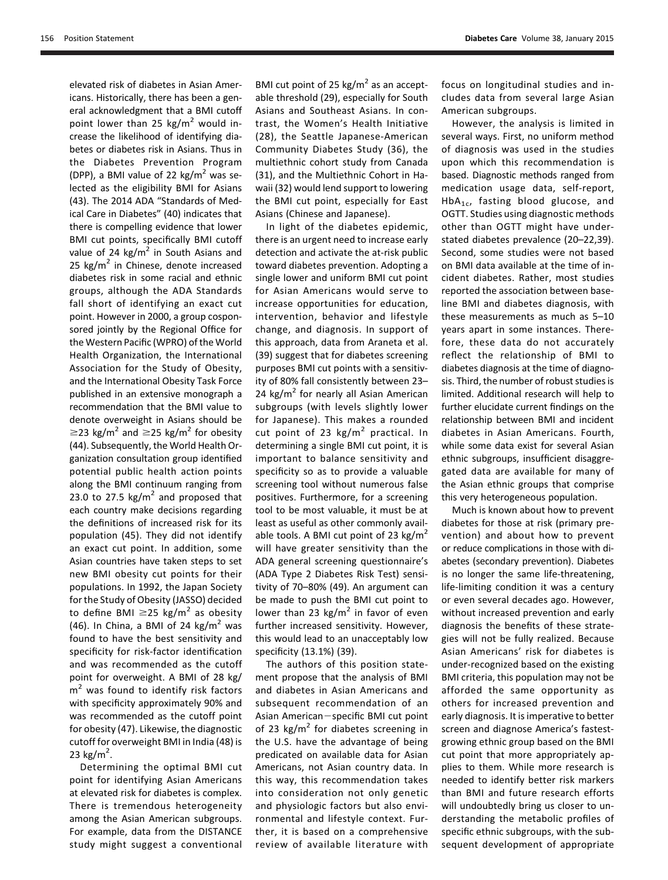elevated risk of diabetes in Asian Americans. Historically, there has been a general acknowledgment that a BMI cutoff point lower than 25  $\text{kg/m}^2$  would increase the likelihood of identifying diabetes or diabetes risk in Asians. Thus in the Diabetes Prevention Program (DPP), a BMI value of 22  $\text{kg/m}^2$  was selected as the eligibility BMI for Asians (43). The 2014 ADA "Standards of Medical Care in Diabetes" (40) indicates that there is compelling evidence that lower BMI cut points, specifically BMI cutoff value of 24  $\text{kg/m}^2$  in South Asians and 25  $\text{kg/m}^2$  in Chinese, denote increased diabetes risk in some racial and ethnic groups, although the ADA Standards fall short of identifying an exact cut point. However in 2000, a group cosponsored jointly by the Regional Office for the Western Pacific (WPRO) of the World Health Organization, the International Association for the Study of Obesity, and the International Obesity Task Force published in an extensive monograph a recommendation that the BMI value to denote overweight in Asians should be  $\geq$ 23 kg/m<sup>2</sup> and  $\geq$ 25 kg/m<sup>2</sup> for obesity (44). Subsequently, the World Health Organization consultation group identified potential public health action points along the BMI continuum ranging from 23.0 to 27.5 kg/ $m^2$  and proposed that each country make decisions regarding the definitions of increased risk for its population (45). They did not identify an exact cut point. In addition, some Asian countries have taken steps to set new BMI obesity cut points for their populations. In 1992, the Japan Society for the Study of Obesity (JASSO) decided to define BMI  $\geq$ 25 kg/m<sup>2</sup> as obesity (46). In China, a BMI of 24 kg/m<sup>2</sup> was found to have the best sensitivity and specificity for risk-factor identification and was recommended as the cutoff point for overweight. A BMI of 28 kg/  $m<sup>2</sup>$  was found to identify risk factors with specificity approximately 90% and was recommended as the cutoff point for obesity (47). Likewise, the diagnostic cutoff for overweight BMI in India (48) is 23  $\text{kg/m}^2$ .

Determining the optimal BMI cut point for identifying Asian Americans at elevated risk for diabetes is complex. There is tremendous heterogeneity among the Asian American subgroups. For example, data from the DISTANCE study might suggest a conventional

BMI cut point of 25 kg/ $m<sup>2</sup>$  as an acceptable threshold (29), especially for South Asians and Southeast Asians. In contrast, the Women's Health Initiative (28), the Seattle Japanese-American Community Diabetes Study (36), the multiethnic cohort study from Canada (31), and the Multiethnic Cohort in Hawaii (32) would lend support to lowering the BMI cut point, especially for East Asians (Chinese and Japanese).

In light of the diabetes epidemic, there is an urgent need to increase early detection and activate the at-risk public toward diabetes prevention. Adopting a single lower and uniform BMI cut point for Asian Americans would serve to increase opportunities for education, intervention, behavior and lifestyle change, and diagnosis. In support of this approach, data from Araneta et al. (39) suggest that for diabetes screening purposes BMI cut points with a sensitivity of 80% fall consistently between 23– 24  $kg/m<sup>2</sup>$  for nearly all Asian American subgroups (with levels slightly lower for Japanese). This makes a rounded cut point of 23  $\text{kg/m}^2$  practical. In determining a single BMI cut point, it is important to balance sensitivity and specificity so as to provide a valuable screening tool without numerous false positives. Furthermore, for a screening tool to be most valuable, it must be at least as useful as other commonly available tools. A BMI cut point of 23 kg/m<sup>2</sup> will have greater sensitivity than the ADA general screening questionnaire's (ADA Type 2 Diabetes Risk Test) sensitivity of 70–80% (49). An argument can be made to push the BMI cut point to lower than 23 kg/m<sup>2</sup> in favor of even further increased sensitivity. However, this would lead to an unacceptably low specificity (13.1%) (39).

The authors of this position statement propose that the analysis of BMI and diabetes in Asian Americans and subsequent recommendation of an Asian American-specific BMI cut point of 23 kg/m<sup>2</sup> for diabetes screening in the U.S. have the advantage of being predicated on available data for Asian Americans, not Asian country data. In this way, this recommendation takes into consideration not only genetic and physiologic factors but also environmental and lifestyle context. Further, it is based on a comprehensive review of available literature with focus on longitudinal studies and includes data from several large Asian American subgroups.

However, the analysis is limited in several ways. First, no uniform method of diagnosis was used in the studies upon which this recommendation is based. Diagnostic methods ranged from medication usage data, self-report,  $HbA_{1c}$ , fasting blood glucose, and OGTT. Studies using diagnostic methods other than OGTT might have understated diabetes prevalence (20–22,39). Second, some studies were not based on BMI data available at the time of incident diabetes. Rather, most studies reported the association between baseline BMI and diabetes diagnosis, with these measurements as much as 5–10 years apart in some instances. Therefore, these data do not accurately reflect the relationship of BMI to diabetes diagnosis at the time of diagnosis. Third, the number of robust studies is limited. Additional research will help to further elucidate current findings on the relationship between BMI and incident diabetes in Asian Americans. Fourth, while some data exist for several Asian ethnic subgroups, insufficient disaggregated data are available for many of the Asian ethnic groups that comprise this very heterogeneous population.

Much is known about how to prevent diabetes for those at risk (primary prevention) and about how to prevent or reduce complications in those with diabetes (secondary prevention). Diabetes is no longer the same life-threatening, life-limiting condition it was a century or even several decades ago. However, without increased prevention and early diagnosis the benefits of these strategies will not be fully realized. Because Asian Americans' risk for diabetes is under-recognized based on the existing BMI criteria, this population may not be afforded the same opportunity as others for increased prevention and early diagnosis. It is imperative to better screen and diagnose America's fastestgrowing ethnic group based on the BMI cut point that more appropriately applies to them. While more research is needed to identify better risk markers than BMI and future research efforts will undoubtedly bring us closer to understanding the metabolic profiles of specific ethnic subgroups, with the subsequent development of appropriate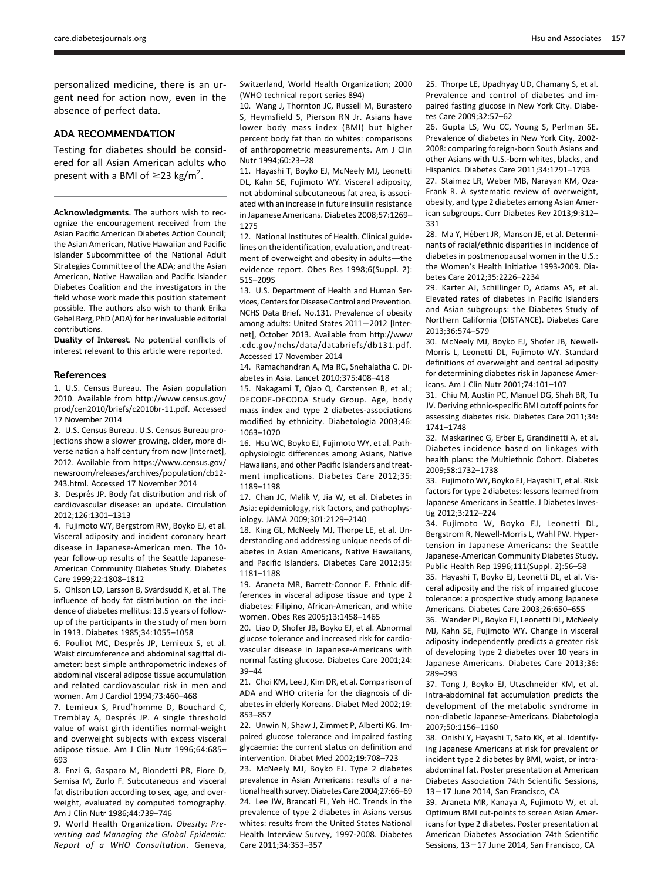personalized medicine, there is an urgent need for action now, even in the absence of perfect data.

## ADA RECOMMENDATION

Testing for diabetes should be considered for all Asian American adults who present with a BMI of  $\geq$ 23 kg/m<sup>2</sup>.

Acknowledgments. The authors wish to recognize the encouragement received from the Asian Pacific American Diabetes Action Council; the Asian American, Native Hawaiian and Pacific Islander Subcommittee of the National Adult Strategies Committee of the ADA; and the Asian American, Native Hawaiian and Pacific Islander Diabetes Coalition and the investigators in the field whose work made this position statement possible. The authors also wish to thank Erika Gebel Berg, PhD (ADA) for her invaluable editorial contributions.

Duality of Interest. No potential conflicts of interest relevant to this article were reported.

#### References

1. U.S. Census Bureau. The Asian population 2010. Available from [http://www.census.gov/](http://www.census.gov/prod/cen2010/briefs/c2010br-11.pdf) [prod/cen2010/briefs/c2010br-11.pdf.](http://www.census.gov/prod/cen2010/briefs/c2010br-11.pdf) Accessed 17 November 2014

2. U.S. Census Bureau. U.S. Census Bureau projections show a slower growing, older, more diverse nation a half century from now [Internet], 2012. Available from [https://www.census.gov/](https://www.census.gov/newsroom/releases/archives/population/cb12-243.html) [newsroom/releases/archives/population/cb12-](https://www.census.gov/newsroom/releases/archives/population/cb12-243.html) [243.html.](https://www.census.gov/newsroom/releases/archives/population/cb12-243.html) Accessed 17 November 2014

3. Després JP. Body fat distribution and risk of cardiovascular disease: an update. Circulation 2012;126:1301–1313

4. Fujimoto WY, Bergstrom RW, Boyko EJ, et al. Visceral adiposity and incident coronary heart disease in Japanese-American men. The 10 year follow-up results of the Seattle Japanese-American Community Diabetes Study. Diabetes Care 1999;22:1808–1812

5. Ohlson LO, Larsson B, Svärdsudd K, et al. The influence of body fat distribution on the incidence of diabetes mellitus: 13.5 years of followup of the participants in the study of men born in 1913. Diabetes 1985;34:1055–1058

6. Pouliot MC, Després JP, Lemieux S, et al. Waist circumference and abdominal sagittal diameter: best simple anthropometric indexes of abdominal visceral adipose tissue accumulation and related cardiovascular risk in men and women. Am J Cardiol 1994;73:460–468

7. Lemieux S, Prud'homme D, Bouchard C, Tremblay A, Després JP. A single threshold value of waist girth identifies normal-weight and overweight subjects with excess visceral adipose tissue. Am J Clin Nutr 1996;64:685– 693

8. Enzi G, Gasparo M, Biondetti PR, Fiore D, Semisa M, Zurlo F. Subcutaneous and visceral fat distribution according to sex, age, and overweight, evaluated by computed tomography. Am J Clin Nutr 1986;44:739–746

9. World Health Organization. Obesity: Preventing and Managing the Global Epidemic: Report of a WHO Consultation. Geneva,

Switzerland, World Health Organization; 2000 (WHO technical report series 894)

10. Wang J, Thornton JC, Russell M, Burastero S, Heymsfield S, Pierson RN Jr. Asians have lower body mass index (BMI) but higher percent body fat than do whites: comparisons of anthropometric measurements. Am J Clin Nutr 1994;60:23–28

11. Hayashi T, Boyko EJ, McNeely MJ, Leonetti DL, Kahn SE, Fujimoto WY. Visceral adiposity, not abdominal subcutaneous fat area, is associated with an increase in future insulin resistance in Japanese Americans. Diabetes 2008;57:1269– 1275

12. National Institutes of Health. Clinical guidelines on the identification, evaluation, and treatment of overweight and obesity in adults-the evidence report. Obes Res 1998;6(Suppl. 2): 51S–209S

13. U.S. Department of Health and Human Services, Centers for Disease Control and Prevention. NCHS Data Brief. No.131. Prevalence of obesity among adults: United States  $2011 - 2012$  [Internet], October 2013. Available from [http://www](http://www.cdc.gov/nchs/data/databriefs/db131.pdf) [.cdc.gov/nchs/data/databriefs/db131.pdf](http://www.cdc.gov/nchs/data/databriefs/db131.pdf). Accessed 17 November 2014

14. Ramachandran A, Ma RC, Snehalatha C. Diabetes in Asia. Lancet 2010;375:408–418

15. Nakagami T, Qiao Q, Carstensen B, et al.; DECODE-DECODA Study Group. Age, body mass index and type 2 diabetes-associations modified by ethnicity. Diabetologia 2003;46: 1063–1070

16. Hsu WC, Boyko EJ, Fujimoto WY, et al. Pathophysiologic differences among Asians, Native Hawaiians, and other Pacific Islanders and treatment implications. Diabetes Care 2012;35: 1189–1198

17. Chan JC, Malik V, Jia W, et al. Diabetes in Asia: epidemiology, risk factors, and pathophysiology. JAMA 2009;301:2129–2140

18. King GL, McNeely MJ, Thorpe LE, et al. Understanding and addressing unique needs of diabetes in Asian Americans, Native Hawaiians, and Pacific Islanders. Diabetes Care 2012;35: 1181–1188

19. Araneta MR, Barrett-Connor E. Ethnic differences in visceral adipose tissue and type 2 diabetes: Filipino, African-American, and white women. Obes Res 2005;13:1458–1465

20. Liao D, Shofer JB, Boyko EJ, et al. Abnormal glucose tolerance and increased risk for cardiovascular disease in Japanese-Americans with normal fasting glucose. Diabetes Care 2001;24: 39–44

21. Choi KM, Lee J, Kim DR, et al. Comparison of ADA and WHO criteria for the diagnosis of diabetes in elderly Koreans. Diabet Med 2002;19: 853–857

22. Unwin N, Shaw J, Zimmet P, Alberti KG. Impaired glucose tolerance and impaired fasting glycaemia: the current status on definition and intervention. Diabet Med 2002;19:708–723

23. McNeely MJ, Boyko EJ. Type 2 diabetes prevalence in Asian Americans: results of a national health survey. Diabetes Care 2004;27:66–69 24. Lee JW, Brancati FL, Yeh HC. Trends in the prevalence of type 2 diabetes in Asians versus whites: results from the United States National Health Interview Survey, 1997-2008. Diabetes Care 2011;34:353–357

25. Thorpe LE, Upadhyay UD, Chamany S, et al. Prevalence and control of diabetes and impaired fasting glucose in New York City. Diabetes Care 2009;32:57–62

26. Gupta LS, Wu CC, Young S, Perlman SE. Prevalence of diabetes in New York City, 2002- 2008: comparing foreign-born South Asians and other Asians with U.S.-born whites, blacks, and Hispanics. Diabetes Care 2011;34:1791–1793

27. Staimez LR, Weber MB, Narayan KM, Oza-Frank R. A systematic review of overweight, obesity, and type 2 diabetes among Asian American subgroups. Curr Diabetes Rev 2013;9:312– 331

28. Ma Y, Hébert JR, Manson JE, et al. Determinants of racial/ethnic disparities in incidence of diabetes in postmenopausal women in the U.S.: the Women's Health Initiative 1993-2009. Diabetes Care 2012;35:2226–2234

29. Karter AJ, Schillinger D, Adams AS, et al. Elevated rates of diabetes in Pacific Islanders and Asian subgroups: the Diabetes Study of Northern California (DISTANCE). Diabetes Care 2013;36:574–579

30. McNeely MJ, Boyko EJ, Shofer JB, Newell-Morris L, Leonetti DL, Fujimoto WY. Standard definitions of overweight and central adiposity for determining diabetes risk in Japanese Americans. Am J Clin Nutr 2001;74:101–107

31. Chiu M, Austin PC, Manuel DG, Shah BR, Tu JV. Deriving ethnic-specific BMI cutoff points for assessing diabetes risk. Diabetes Care 2011;34: 1741–1748

32. Maskarinec G, Erber E, Grandinetti A, et al. Diabetes incidence based on linkages with health plans: the Multiethnic Cohort. Diabetes 2009;58:1732–1738

33. Fujimoto WY, Boyko EJ, Hayashi T, et al. Risk factors for type 2 diabetes: lessons learned from Japanese Americans in Seattle. J Diabetes Investig 2012;3:212–224

34. Fujimoto W, Boyko EJ, Leonetti DL, Bergstrom R, Newell-Morris L, Wahl PW. Hypertension in Japanese Americans: the Seattle Japanese-American Community Diabetes Study. Public Health Rep 1996;111(Suppl. 2):56–58

35. Hayashi T, Boyko EJ, Leonetti DL, et al. Visceral adiposity and the risk of impaired glucose tolerance: a prospective study among Japanese Americans. Diabetes Care 2003;26:650–655

36. Wander PL, Boyko EJ, Leonetti DL, McNeely MJ, Kahn SE, Fujimoto WY. Change in visceral adiposity independently predicts a greater risk of developing type 2 diabetes over 10 years in Japanese Americans. Diabetes Care 2013;36: 289–293

37. Tong J, Boyko EJ, Utzschneider KM, et al. Intra-abdominal fat accumulation predicts the development of the metabolic syndrome in non-diabetic Japanese-Americans. Diabetologia 2007;50:1156–1160

38. Onishi Y, Hayashi T, Sato KK, et al. Identifying Japanese Americans at risk for prevalent or incident type 2 diabetes by BMI, waist, or intraabdominal fat. Poster presentation at American Diabetes Association 74th Scientific Sessions,  $13-17$  June 2014, San Francisco, CA

39. Araneta MR, Kanaya A, Fujimoto W, et al. Optimum BMI cut-points to screen Asian Americans for type 2 diabetes. Poster presentation at American Diabetes Association 74th Scientific Sessions,  $13-17$  June 2014, San Francisco, CA